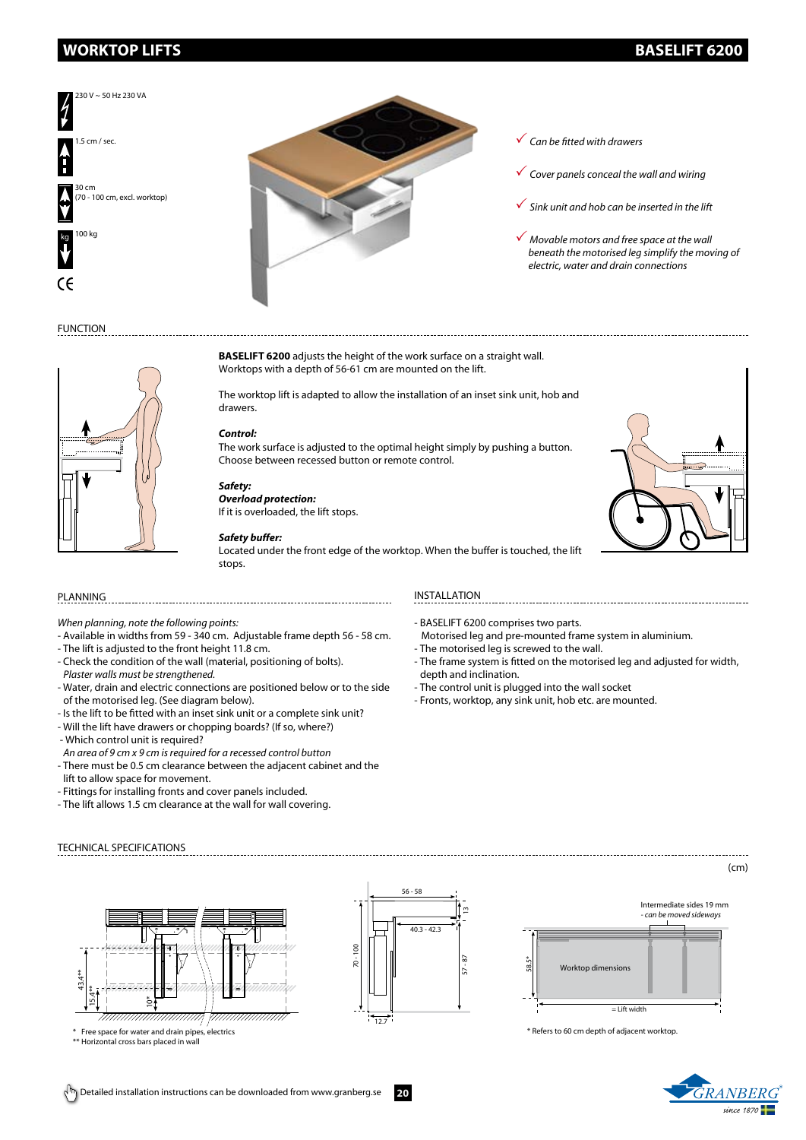# **WORKTOP LIFTS BASELIFT 6200**



- *Can be fitted with drawers*
- *Cover panels conceal the wall and wiring*
- *Sink unit and hob can be inserted in the lift*
- *Movable motors and free space at the wall beneath the motorised leg simplify the moving of electric, water and drain connections*

# FUNCTION

# **BASELIFT 6200** adjusts the height of the work surface on a straight wall. Worktops with a depth of 56-61 cm are mounted on the lift.

The worktop lift is adapted to allow the installation of an inset sink unit, hob and drawers.

# *Control:*

The work surface is adjusted to the optimal height simply by pushing a button. Choose between recessed button or remote control.

# *Safety:*

*Overload protection:* If it is overloaded, the lift stops.

# *Safety buffer:*

Located under the front edge of the worktop. When the buffer is touched, the lift stops.

*When planning, note the following points:*

-----------------------------

- Available in widths from 59 340 cm. Adjustable frame depth 56 58 cm.
- The lift is adjusted to the front height 11.8 cm.
- Check the condition of the wall (material, positioning of bolts). *Plaster walls must be strengthened.*
- Water, drain and electric connections are positioned below or to the side of the motorised leg. (See diagram below).
- Is the lift to be fitted with an inset sink unit or a complete sink unit?
- Will the lift have drawers or chopping boards? (If so, where?)
- Which control unit is required? *An area of 9 cm x 9 cm is required for a recessed control button*
- There must be 0.5 cm clearance between the adjacent cabinet and the lift to allow space for movement.
- 
- Fittings for installing fronts and cover panels included. - The lift allows 1.5 cm clearance at the wall for wall covering.

## PLANNING INSTALLATION

- BASELIFT 6200 comprises two parts.
- Motorised leg and pre-mounted frame system in aluminium.

- The motorised leg is screwed to the wall.
- The frame system is fitted on the motorised leg and adjusted for width, depth and inclination.
- The control unit is plugged into the wall socket
- Fronts, worktop, any sink unit, hob etc. are mounted.





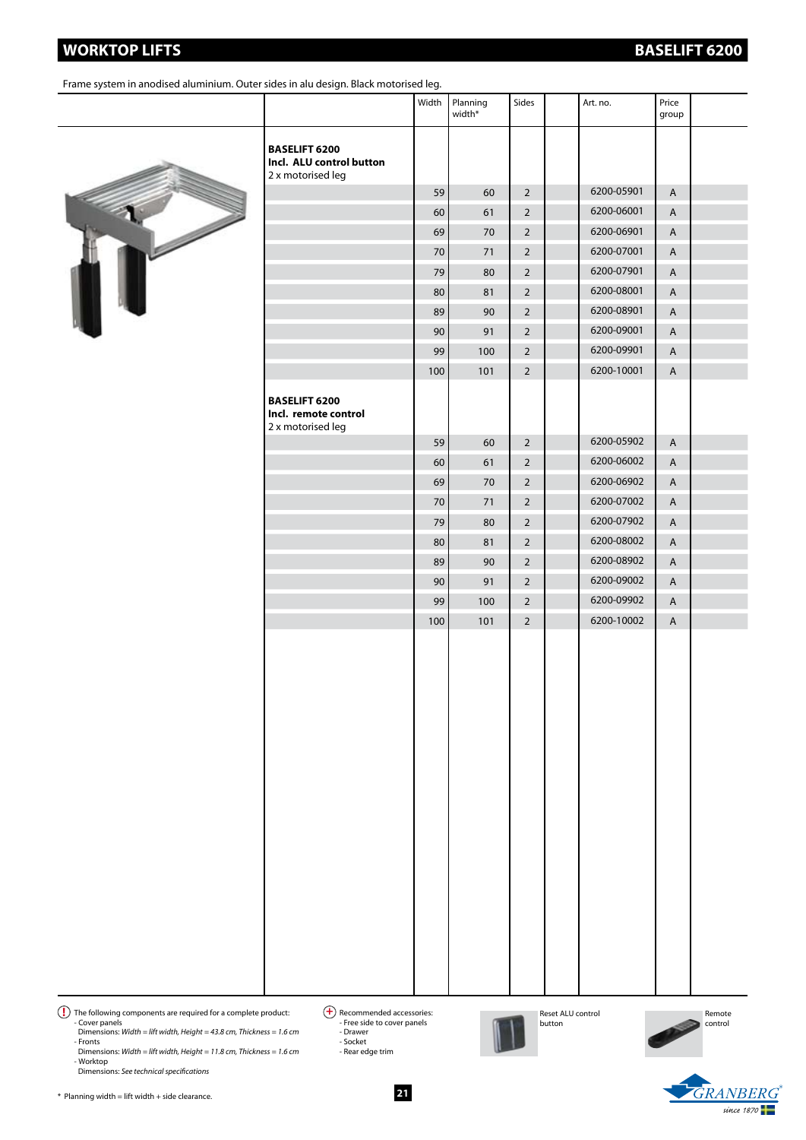# **WORKTOP LIFTS BASELIFT 6200**

Frame system in anodised aluminium. Outer sides in alu design. Black motorised leg.

# 

|                                                                       | Width | Planning<br>width* | Sides          | Art. no.   | Price<br>group |  |
|-----------------------------------------------------------------------|-------|--------------------|----------------|------------|----------------|--|
| <b>BASELIFT 6200</b><br>Incl. ALU control button<br>2 x motorised leg |       |                    |                |            |                |  |
|                                                                       | 59    | 60                 | $\overline{2}$ | 6200-05901 | $\overline{A}$ |  |
|                                                                       | 60    | 61                 | $\overline{2}$ | 6200-06001 | $\mathsf{A}$   |  |
|                                                                       | 69    | 70                 | $\overline{2}$ | 6200-06901 | A              |  |
|                                                                       | 70    | 71                 | $\overline{2}$ | 6200-07001 | A              |  |
|                                                                       | 79    | 80                 | $\overline{2}$ | 6200-07901 | A              |  |
|                                                                       | 80    | 81                 | $\overline{2}$ | 6200-08001 | $\mathsf{A}$   |  |
|                                                                       | 89    | 90                 | $\overline{2}$ | 6200-08901 | A              |  |
|                                                                       | 90    | 91                 | $\overline{2}$ | 6200-09001 | $\overline{A}$ |  |
|                                                                       | 99    | 100                | $\overline{2}$ | 6200-09901 | $\mathsf A$    |  |
|                                                                       | 100   | 101                | $\overline{2}$ | 6200-10001 | $\mathsf{A}$   |  |
| <b>BASELIFT 6200</b><br>Incl. remote control<br>2 x motorised leg     |       |                    |                |            |                |  |
|                                                                       | 59    | 60                 | $\overline{2}$ | 6200-05902 | $\overline{A}$ |  |
|                                                                       | 60    | 61                 | $\overline{2}$ | 6200-06002 | $\overline{A}$ |  |
|                                                                       | 69    | 70                 | $\overline{2}$ | 6200-06902 | A              |  |
|                                                                       | 70    | 71                 | $\overline{2}$ | 6200-07002 | $\mathsf A$    |  |
|                                                                       | 79    | 80                 | $\overline{2}$ | 6200-07902 | $\mathsf A$    |  |
|                                                                       | 80    | 81                 | $\overline{2}$ | 6200-08002 | $\mathsf{A}$   |  |
|                                                                       | 89    | 90                 | $\overline{2}$ | 6200-08902 | $\mathsf{A}$   |  |
|                                                                       | 90    | 91                 | $\overline{2}$ | 6200-09002 | A              |  |
|                                                                       | 99    | 100                | $\overline{2}$ | 6200-09902 | $\overline{A}$ |  |
|                                                                       | 100   | 101                | $\overline{2}$ | 6200-10002 | $\mathsf{A}$   |  |

 $\bf{P}$  The following components are required for a complete product:  $\bf{P}$  Recommended accessories: - Cover panels Dimensions: *Width = lift width, Height = 43.8 cm, Thickness = 1.6 cm* - Fronts

Dimensions: *Width = lift width, Height = 11.8 cm, Thickness = 1.6 cm* - Worktop Dimensions: *See technical specifications*

<sup>4</sup> Recommended accessories:<br>- Free side to cover panels - Drawer - Socket - Rear edge trim



Reset ALU control button





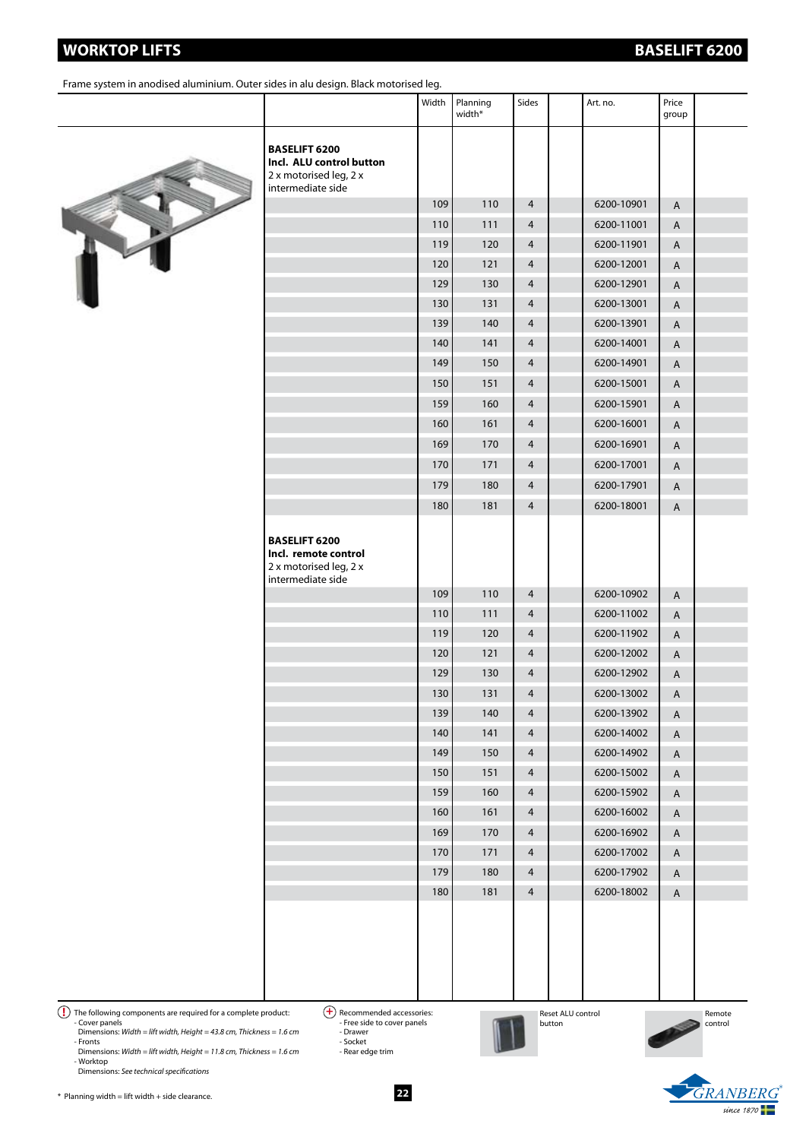# **WORKTOP LIFTS BASELIFT 6200**

Frame system in anodised aluminium. Outer sides in alu design. Black motorised leg.



|                                                                                                 | Width | Planning<br>width* | Sides          | Art. no.   | Price<br>group |  |
|-------------------------------------------------------------------------------------------------|-------|--------------------|----------------|------------|----------------|--|
| <b>BASELIFT 6200</b><br>Incl. ALU control button<br>2 x motorised leg, 2 x<br>intermediate side |       |                    |                |            |                |  |
|                                                                                                 | 109   | 110                | $\overline{4}$ | 6200-10901 | A              |  |
|                                                                                                 | 110   | 111                | $\overline{4}$ | 6200-11001 | A              |  |
|                                                                                                 | 119   | 120                | $\overline{4}$ | 6200-11901 | A              |  |
|                                                                                                 | 120   | 121                | $\overline{4}$ | 6200-12001 | A              |  |
|                                                                                                 | 129   | 130                | $\overline{4}$ | 6200-12901 | A              |  |
|                                                                                                 | 130   | 131                | $\overline{4}$ | 6200-13001 | $\mathsf A$    |  |
|                                                                                                 | 139   | 140                | $\overline{4}$ | 6200-13901 | $\mathsf A$    |  |
|                                                                                                 | 140   | 141                | $\overline{4}$ | 6200-14001 | $\mathsf{A}$   |  |
|                                                                                                 | 149   | 150                | $\overline{4}$ | 6200-14901 | A              |  |
|                                                                                                 | 150   | 151                | $\overline{4}$ | 6200-15001 | A              |  |
|                                                                                                 | 159   | 160                | $\overline{4}$ | 6200-15901 | A              |  |
|                                                                                                 | 160   | 161                | $\overline{4}$ | 6200-16001 | A              |  |
|                                                                                                 | 169   | 170                | $\overline{4}$ | 6200-16901 | A              |  |
|                                                                                                 | 170   | 171                | $\overline{4}$ | 6200-17001 | A              |  |
|                                                                                                 | 179   | 180                | $\overline{4}$ | 6200-17901 | A              |  |
|                                                                                                 | 180   | 181                | $\overline{4}$ | 6200-18001 | A              |  |
| <b>BASELIFT 6200</b><br>Incl. remote control<br>2 x motorised leg, 2 x<br>intermediate side     |       |                    |                |            |                |  |
|                                                                                                 | 109   | 110                | $\overline{4}$ | 6200-10902 | A              |  |
|                                                                                                 | 110   | 111                | $\overline{4}$ | 6200-11002 | A              |  |
|                                                                                                 | 119   | 120                | $\overline{4}$ | 6200-11902 | A              |  |
|                                                                                                 | 120   | 121                | $\overline{4}$ | 6200-12002 | A              |  |
|                                                                                                 | 129   | 130                | $\overline{4}$ | 6200-12902 | A              |  |
|                                                                                                 | 130   | 131                | $\overline{4}$ | 6200-13002 | Α              |  |
|                                                                                                 | 139   | 140                | 4              | 6200-13902 | A              |  |
|                                                                                                 | 140   | 141                | $\overline{4}$ | 6200-14002 | A              |  |
|                                                                                                 | 149   | 150                | 4              | 6200-14902 | A              |  |
|                                                                                                 | 150   | 151                | 4              | 6200-15002 | $\mathsf A$    |  |
|                                                                                                 | 159   | 160                | 4              | 6200-15902 | A              |  |
|                                                                                                 | 160   | 161                | 4              | 6200-16002 | A              |  |
|                                                                                                 | 169   | 170                | 4              | 6200-16902 | A              |  |
|                                                                                                 | 170   | 171                | $\overline{4}$ | 6200-17002 | $\mathsf A$    |  |
|                                                                                                 | 179   | 180                | 4              | 6200-17902 | $\mathsf A$    |  |
|                                                                                                 | 180   | 181                | $\overline{4}$ | 6200-18002 | $\mathsf A$    |  |
|                                                                                                 |       |                    |                |            |                |  |

The following components are required for a complete product: <br>
- Cover panels<br>
Dimensions: *Width = lift width, Height = 43.8 cm, Thickness = 1.6 cm*<br>
- Fronts - Socket<br>
- Socket

Dimensions: *Width = lift width, Height = 11.8 cm, Thickness = 1.6 cm* - Worktop Dimensions: *See technical specifications*



 $\bigoplus$  Recommended accessories:<br>- Free side to cover panels

- Drawer - Socket - Rear edge trim Reset ALU control button

Remote control

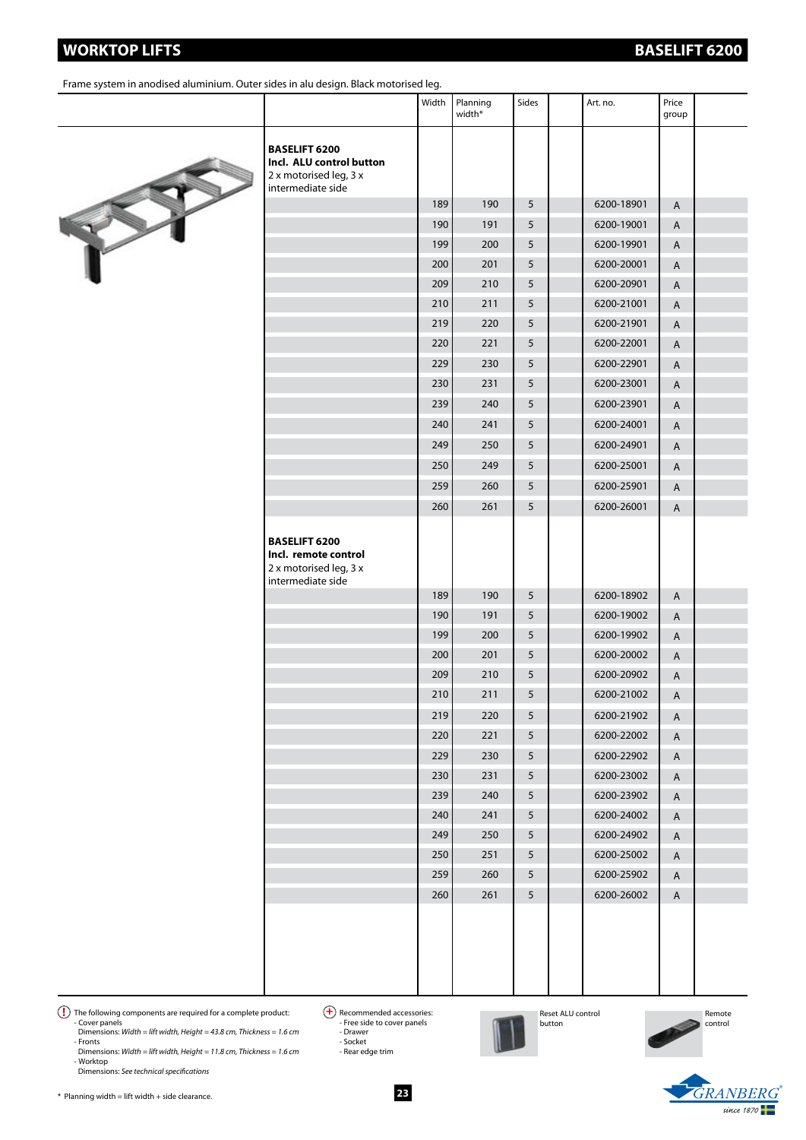| Incl. ALU control button<br>2 x motorised leg, 3 x<br>intermediate side                     |     |     |   |            |
|---------------------------------------------------------------------------------------------|-----|-----|---|------------|
|                                                                                             | 189 | 190 | 5 | 6200-1     |
|                                                                                             | 190 | 191 | 5 | 6200-1     |
|                                                                                             | 199 | 200 | 5 | 6200-1     |
|                                                                                             | 200 | 201 | 5 | 6200-2     |
|                                                                                             | 209 | 210 | 5 | 6200-2     |
|                                                                                             | 210 | 211 | 5 | 6200-2     |
|                                                                                             | 219 | 220 | 5 | 6200-2     |
|                                                                                             | 220 | 221 | 5 | 6200-2     |
|                                                                                             | 229 | 230 | 5 | 6200-2     |
|                                                                                             | 230 | 231 | 5 | 6200-2     |
|                                                                                             | 239 | 240 | 5 | 6200-2     |
|                                                                                             | 240 | 241 | 5 | $6200 - 2$ |
|                                                                                             | 249 | 250 | 5 | $6200 - 2$ |
|                                                                                             | 250 | 249 | 5 | 6200-2     |
|                                                                                             | 259 | 260 | 5 | 6200-2     |
|                                                                                             | 260 | 261 | 5 | $6200 - 2$ |
| <b>BASELIFT 6200</b><br>Incl. remote control<br>2 x motorised leg, 3 x<br>intermediate side |     |     |   |            |
|                                                                                             | 189 | 190 | 5 | 6200-1     |
|                                                                                             | 190 | 191 | 5 | 6200-1     |
|                                                                                             | 199 | 200 | 5 | 6200-1     |
|                                                                                             | 200 | 201 | 5 | $6200 - 2$ |
|                                                                                             | 209 | 210 | 5 | 6200-2     |
|                                                                                             | 210 | 211 | 5 | 6200-2     |
|                                                                                             | 219 | 220 | 5 | 6200-2     |
|                                                                                             | 220 | 221 | 5 | 6200-2     |
|                                                                                             | 229 | 230 | 5 | 6200-2     |
|                                                                                             | 230 | 231 | 5 | 6200-2     |
|                                                                                             | 239 | 240 | 5 | 6200-2     |
|                                                                                             | 240 | 241 | 5 | $6200 - 2$ |

Width Planning width\*

Frame system in anodised aluminium. Outer sides in alu design. Black motorised leg.



| 6200<br>control button<br>sed leg, 3 x<br>ate side |     |     |   |            |   |  |
|----------------------------------------------------|-----|-----|---|------------|---|--|
|                                                    | 189 | 190 | 5 | 6200-18901 | Α |  |
|                                                    | 190 | 191 | 5 | 6200-19001 | Α |  |
|                                                    | 199 | 200 | 5 | 6200-19901 | Α |  |
|                                                    | 200 | 201 | 5 | 6200-20001 | A |  |
|                                                    | 209 | 210 | 5 | 6200-20901 | A |  |
|                                                    | 210 | 211 | 5 | 6200-21001 | Α |  |
|                                                    | 219 | 220 | 5 | 6200-21901 | Α |  |
|                                                    | 220 | 221 | 5 | 6200-22001 | Α |  |
|                                                    | 229 | 230 | 5 | 6200-22901 | Α |  |
|                                                    | 230 | 231 | 5 | 6200-23001 | Α |  |
|                                                    | 239 | 240 | 5 | 6200-23901 | Α |  |
|                                                    | 240 | 241 | 5 | 6200-24001 | Α |  |
|                                                    | 249 | 250 | 5 | 6200-24901 | Α |  |
|                                                    | 250 | 249 | 5 | 6200-25001 | Α |  |
|                                                    | 259 | 260 | 5 | 6200-25901 | Α |  |
|                                                    | 260 | 261 | 5 | 6200-26001 | Α |  |
| 6200<br>ote control<br>sed leg, 3 x<br>ate side    |     |     |   |            |   |  |
|                                                    | 189 | 190 | 5 | 6200-18902 | A |  |
|                                                    | 190 | 191 | 5 | 6200-19002 | Α |  |
|                                                    | 199 | 200 | 5 | 6200-19902 | A |  |
|                                                    | 200 | 201 | 5 | 6200-20002 | A |  |
|                                                    | 209 | 210 | 5 | 6200-20902 | A |  |
|                                                    | 210 | 211 | 5 | 6200-21002 | Α |  |
|                                                    | 219 | 220 | 5 | 6200-21902 | Α |  |
|                                                    | 220 | 221 | 5 | 6200-22002 | A |  |
|                                                    | 229 | 230 | 5 | 6200-22902 | A |  |
|                                                    | 230 | 231 | 5 | 6200-23002 | A |  |
|                                                    | 239 | 240 | 5 | 6200-23902 | A |  |
|                                                    | 240 | 241 | 5 | 6200-24002 | A |  |
|                                                    | 249 | 250 | 5 | 6200-24902 | A |  |
|                                                    | 250 | 251 | 5 | 6200-25002 | A |  |
|                                                    | 259 | 260 | 5 | 6200-25902 | A |  |
|                                                    | 260 | 261 | 5 | 6200-26002 | A |  |
|                                                    |     |     |   |            |   |  |

 $\bf{P}$  The following components are required for a complete product:  $\bf{P}$  Recommended accessories:

- Cover panels Dimensions: *Width = lift width, Height = 43.8 cm, Thickness = 1.6 cm* - Fronts

Dimensions: *Width = lift width, Height = 11.8 cm, Thickness = 1.6 cm* - Worktop Dimensions: *See technical specifications*

 $\bigoplus$  Recommended accessories:<br>- Free side to cover panels - Drawer - Socket

- Rear edge trim

**23**



Reset ALU control button

Remote control

GRANBER *since 1870*



group

Sides **Art.** no. Price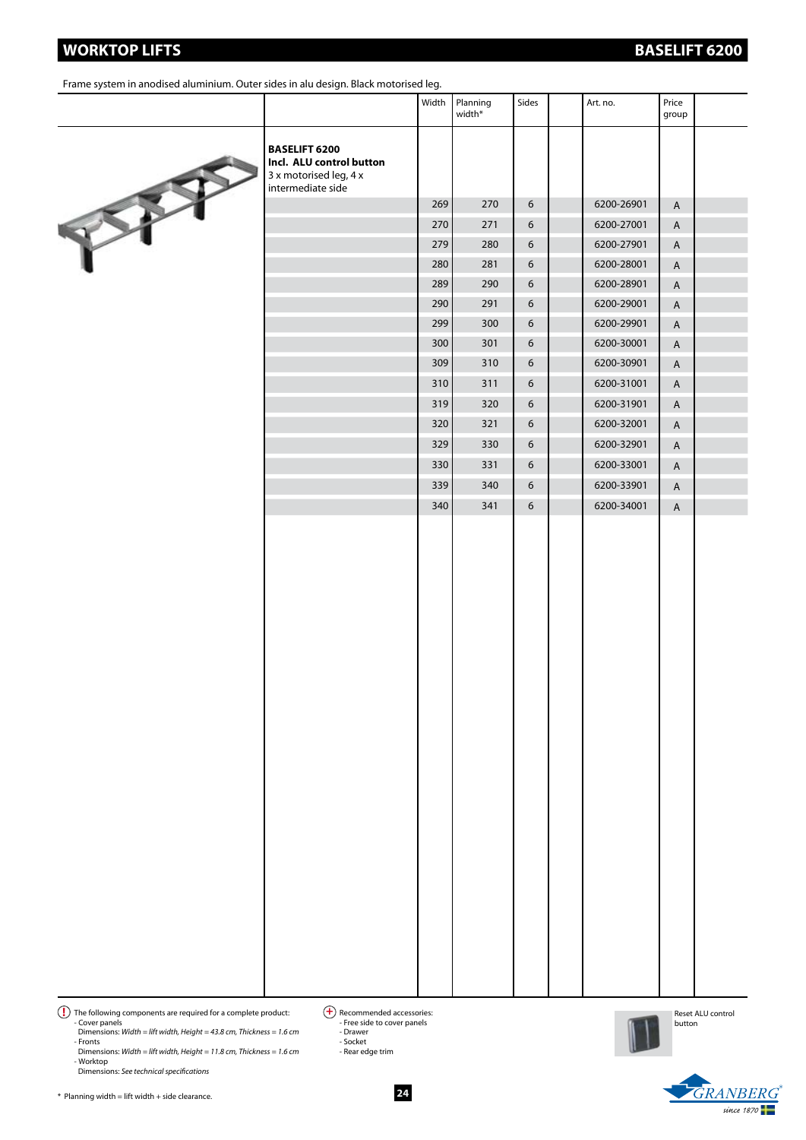Dimensions: *See technical specifications*

- Cover panels Dimensions: *Width = lift width, Height = 43.8 cm, Thickness = 1.6 cm* - Fronts Dimensions: *Width = lift width, Height = 11.8 cm, Thickness = 1.6 cm* - Worktop

Frame system in anodised aluminium. Outer sides in alu design. Black motorised leg.

|                                                                                                 | Width | Planning<br>width* | Sides | Art. no.   | Price<br>group |  |
|-------------------------------------------------------------------------------------------------|-------|--------------------|-------|------------|----------------|--|
| <b>BASELIFT 6200</b><br>Incl. ALU control button<br>3 x motorised leg, 4 x<br>intermediate side |       |                    |       |            |                |  |
|                                                                                                 | 269   | 270                | 6     | 6200-26901 | $\overline{A}$ |  |
|                                                                                                 | 270   | 271                | 6     | 6200-27001 | A              |  |
|                                                                                                 | 279   | 280                | 6     | 6200-27901 | $\mathsf{A}$   |  |
|                                                                                                 | 280   | 281                | 6     | 6200-28001 | A              |  |
|                                                                                                 | 289   | 290                | 6     | 6200-28901 | $\overline{A}$ |  |
|                                                                                                 | 290   | 291                | 6     | 6200-29001 | $\overline{A}$ |  |
|                                                                                                 | 299   | 300                | 6     | 6200-29901 | $\overline{A}$ |  |
|                                                                                                 | 300   | 301                | 6     | 6200-30001 | $\overline{A}$ |  |
|                                                                                                 | 309   | 310                | 6     | 6200-30901 | $\overline{A}$ |  |
|                                                                                                 | 310   | 311                | 6     | 6200-31001 | $\overline{A}$ |  |
|                                                                                                 | 319   | 320                | 6     | 6200-31901 | $\overline{A}$ |  |
|                                                                                                 | 320   | 321                | 6     | 6200-32001 | $\overline{A}$ |  |
|                                                                                                 | 329   | 330                | 6     | 6200-32901 | $\overline{A}$ |  |
|                                                                                                 | 330   | 331                | 6     | 6200-33001 | $\overline{A}$ |  |
|                                                                                                 | 339   | 340                | 6     | 6200-33901 | $\overline{A}$ |  |
|                                                                                                 | 340   | 341                | 6     | 6200-34001 | $\overline{A}$ |  |
|                                                                                                 |       |                    |       |            |                |  |

 $\bf{P}$  The following components are required for a complete product:  $\bf{P}$  Recommended accessories:  $\bigoplus$  Recommended accessories:<br>- Free side to cover panels - Drawer - Socket

- Rear edge trim



Reset ALU control button



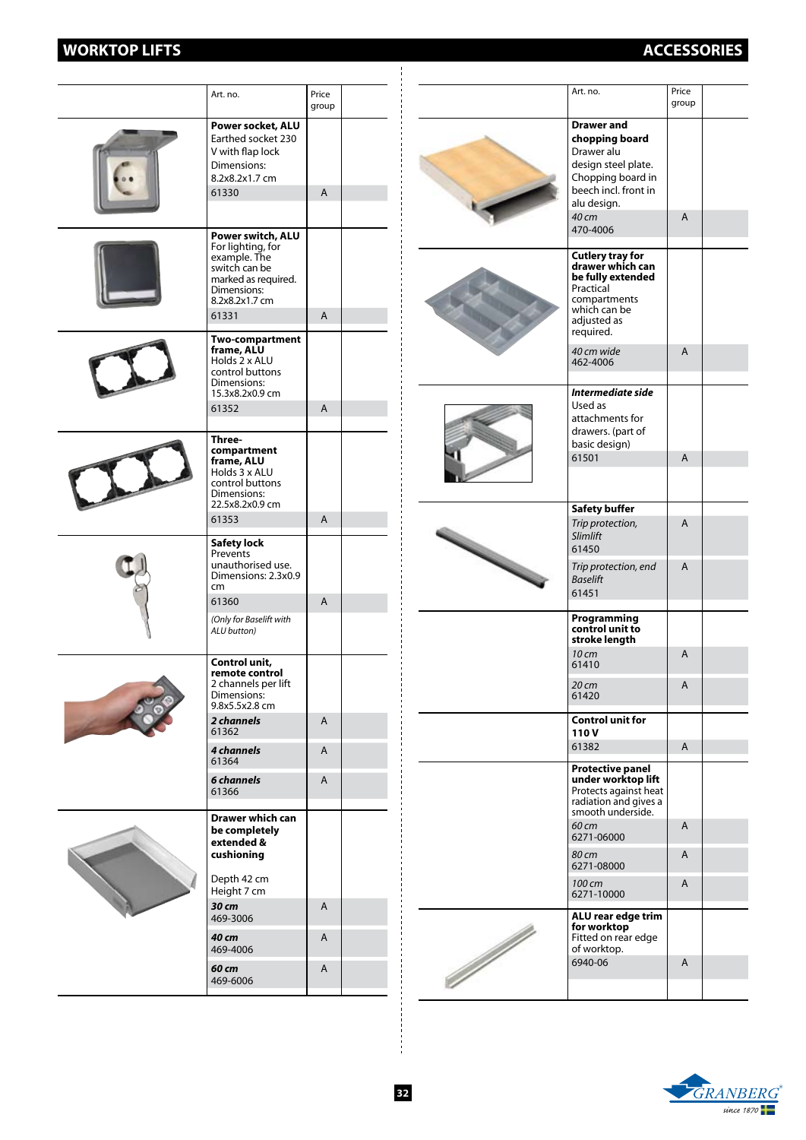# **WORKTOP LIFTS ACCESSORIES**

|  | Art. no.                                                                                                                                 | Price<br>group |  |
|--|------------------------------------------------------------------------------------------------------------------------------------------|----------------|--|
|  | Power socket, ALU<br>Earthed socket 230<br>V with flap lock<br>Dimensions:<br>8.2x8.2x1.7 cm<br>61330                                    | A              |  |
|  | Power switch, ALU<br>For lighting, for<br>example. The<br>switch can be<br>marked as required.<br>Dimensions:<br>8.2x8.2x1.7 cm<br>61331 | A              |  |
|  | <b>Two-compartment</b><br>frame, ALU<br>Holds 2 x ALU<br>control buttons<br>Dimensions:<br>15.3x8.2x0.9 cm<br>61352                      | A              |  |
|  | Three-<br>compartment<br>frame, ALU<br>Holds 3 x ALU<br>control buttons<br>Dimensions:<br>22.5x8.2x0.9 cm                                |                |  |
|  | 61353                                                                                                                                    | $\mathsf{A}$   |  |
|  | <b>Safety lock</b><br>Prevents<br>unauthorised use.<br>Dimensions: 2.3x0.9<br>cm<br>61360<br>(Only for Baselift with<br>ALU button)      | A              |  |
|  | Control unit,<br>remote control<br>2 channels per lift<br>Dimensions:<br>9.8x5.5x2.8 cm                                                  |                |  |
|  | 2 channels<br>61362                                                                                                                      | A              |  |
|  | 4 channels<br>61364                                                                                                                      | A              |  |
|  | 6 channels<br>61366                                                                                                                      | A              |  |
|  | <b>Drawer which can</b><br>be completely<br>extended &<br>cushioning                                                                     |                |  |
|  | Depth 42 cm<br>Height 7 cm                                                                                                               |                |  |
|  | 30 cm<br>469-3006                                                                                                                        | A              |  |
|  | 40 cm<br>469-4006                                                                                                                        | A              |  |
|  | 60 cm<br>469-6006                                                                                                                        | A              |  |

|                       | Art. no.                                                                                                                                                  | Price<br>group |  |
|-----------------------|-----------------------------------------------------------------------------------------------------------------------------------------------------------|----------------|--|
|                       | <b>Drawer and</b><br>chopping board<br>Drawer alu<br>design steel plate.<br>Chopping board in<br>beech incl. front in<br>alu design.<br>40 cm<br>470-4006 | A              |  |
|                       | <b>Cutlery tray for</b><br>drawer which can<br>be fully extended<br>Practical<br>compartments<br>which can be<br>adjusted as<br>required.<br>40 cm wide   | A              |  |
|                       | 462-4006                                                                                                                                                  |                |  |
|                       | Intermediate side<br>Used as<br>attachments for<br>drawers. (part of<br>basic design)<br>61501                                                            | A              |  |
|                       |                                                                                                                                                           |                |  |
|                       |                                                                                                                                                           |                |  |
|                       | <b>Safety buffer</b><br>Trip protection,<br><b>Slimlift</b><br>61450                                                                                      | A              |  |
|                       | Trip protection, end<br><b>Baselift</b><br>61451                                                                                                          | A              |  |
|                       | Programming<br>control unit to<br>stroke length                                                                                                           |                |  |
|                       | 10 cm<br>61410                                                                                                                                            | A              |  |
|                       | 20 cm<br>61420                                                                                                                                            | A              |  |
|                       | <b>Control unit for</b><br>110V                                                                                                                           |                |  |
|                       | 61382                                                                                                                                                     | A              |  |
|                       | <b>Protective panel</b><br>under worktop lift<br>Protects against heat<br>radiation and gives a<br>smooth underside.                                      |                |  |
|                       | 60 cm<br>6271-06000                                                                                                                                       | A              |  |
|                       | 80 cm<br>6271-08000                                                                                                                                       | A              |  |
|                       | 100 cm<br>6271-10000                                                                                                                                      | A              |  |
| <b>September 1976</b> | ALU rear edge trim<br>for worktop<br>Fitted on rear edge<br>of worktop.                                                                                   |                |  |
|                       | 6940-06                                                                                                                                                   | A              |  |
|                       |                                                                                                                                                           |                |  |



 $\overline{a}$